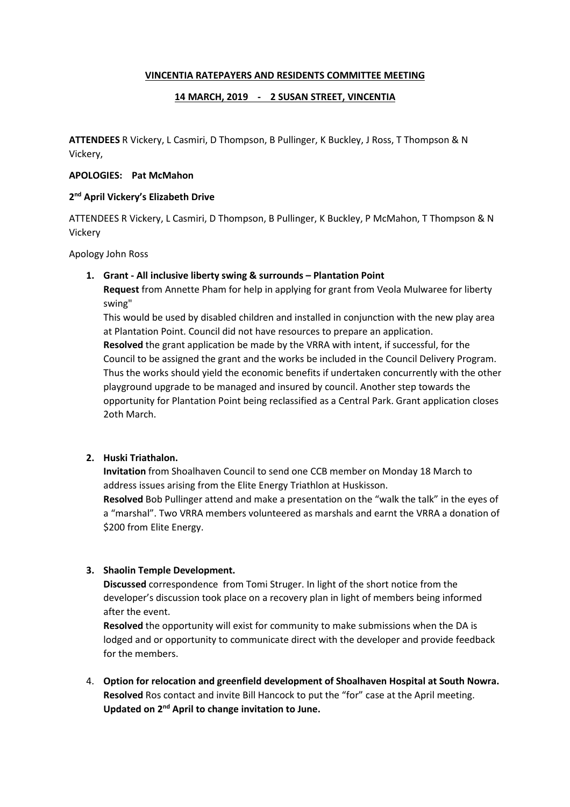## VINCENTIA RATEPAYERS AND RESIDENTS COMMITTEE MEETING

## 14 MARCH, 2019 - 2 SUSAN STREET, VINCENTIA

ATTENDEES R Vickery, L Casmiri, D Thompson, B Pullinger, K Buckley, J Ross, T Thompson & N Vickery,

### APOLOGIES: Pat McMahon

#### 2<sup>nd</sup> April Vickery's Elizabeth Drive

ATTENDEES R Vickery, L Casmiri, D Thompson, B Pullinger, K Buckley, P McMahon, T Thompson & N Vickery

Apology John Ross

#### 1. Grant - All inclusive liberty swing & surrounds – Plantation Point

Request from Annette Pham for help in applying for grant from Veola Mulwaree for liberty swing"

This would be used by disabled children and installed in conjunction with the new play area at Plantation Point. Council did not have resources to prepare an application. Resolved the grant application be made by the VRRA with intent, if successful, for the Council to be assigned the grant and the works be included in the Council Delivery Program. Thus the works should yield the economic benefits if undertaken concurrently with the other playground upgrade to be managed and insured by council. Another step towards the opportunity for Plantation Point being reclassified as a Central Park. Grant application closes 2oth March.

## 2. Huski Triathalon.

Invitation from Shoalhaven Council to send one CCB member on Monday 18 March to address issues arising from the Elite Energy Triathlon at Huskisson.

Resolved Bob Pullinger attend and make a presentation on the "walk the talk" in the eyes of a "marshal". Two VRRA members volunteered as marshals and earnt the VRRA a donation of \$200 from Elite Energy.

## 3. Shaolin Temple Development.

Discussed correspondence from Tomi Struger. In light of the short notice from the developer's discussion took place on a recovery plan in light of members being informed after the event.

Resolved the opportunity will exist for community to make submissions when the DA is lodged and or opportunity to communicate direct with the developer and provide feedback for the members.

4. Option for relocation and greenfield development of Shoalhaven Hospital at South Nowra. Resolved Ros contact and invite Bill Hancock to put the "for" case at the April meeting. Updated on 2nd April to change invitation to June.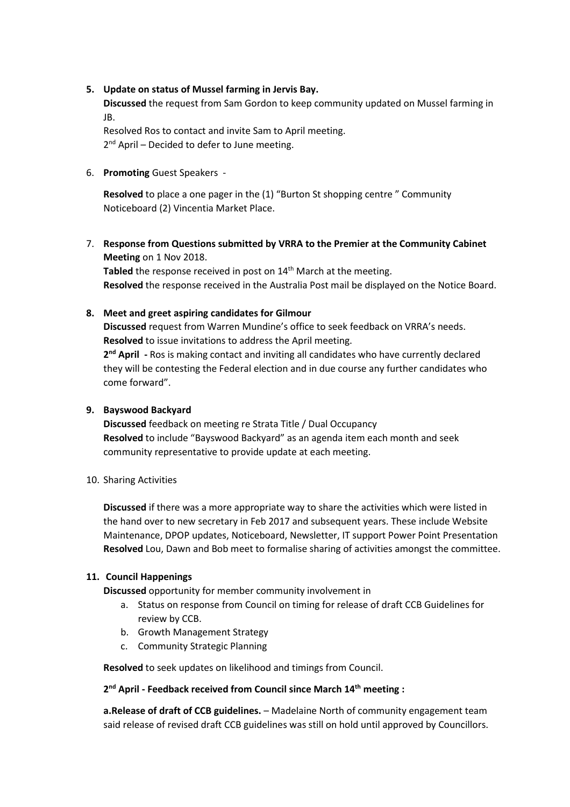## 5. Update on status of Mussel farming in Jervis Bay.

Discussed the request from Sam Gordon to keep community updated on Mussel farming in JB.

Resolved Ros to contact and invite Sam to April meeting. 2<sup>nd</sup> April - Decided to defer to June meeting.

6. Promoting Guest Speakers -

Resolved to place a one pager in the (1) "Burton St shopping centre " Community Noticeboard (2) Vincentia Market Place.

7. Response from Questions submitted by VRRA to the Premier at the Community Cabinet Meeting on 1 Nov 2018.

Tabled the response received in post on  $14<sup>th</sup>$  March at the meeting. Resolved the response received in the Australia Post mail be displayed on the Notice Board.

# 8. Meet and greet aspiring candidates for Gilmour

Discussed request from Warren Mundine's office to seek feedback on VRRA's needs. Resolved to issue invitations to address the April meeting. 2<sup>nd</sup> April - Ros is making contact and inviting all candidates who have currently declared

they will be contesting the Federal election and in due course any further candidates who come forward".

# 9. Bayswood Backyard

Discussed feedback on meeting re Strata Title / Dual Occupancy Resolved to include "Bayswood Backyard" as an agenda item each month and seek community representative to provide update at each meeting.

10. Sharing Activities

Discussed if there was a more appropriate way to share the activities which were listed in the hand over to new secretary in Feb 2017 and subsequent years. These include Website Maintenance, DPOP updates, Noticeboard, Newsletter, IT support Power Point Presentation Resolved Lou, Dawn and Bob meet to formalise sharing of activities amongst the committee.

# 11. Council Happenings

Discussed opportunity for member community involvement in

- a. Status on response from Council on timing for release of draft CCB Guidelines for review by CCB.
- b. Growth Management Strategy
- c. Community Strategic Planning

Resolved to seek updates on likelihood and timings from Council.

## 2<sup>nd</sup> April - Feedback received from Council since March 14<sup>th</sup> meeting :

a.Release of draft of CCB guidelines. - Madelaine North of community engagement team said release of revised draft CCB guidelines was still on hold until approved by Councillors.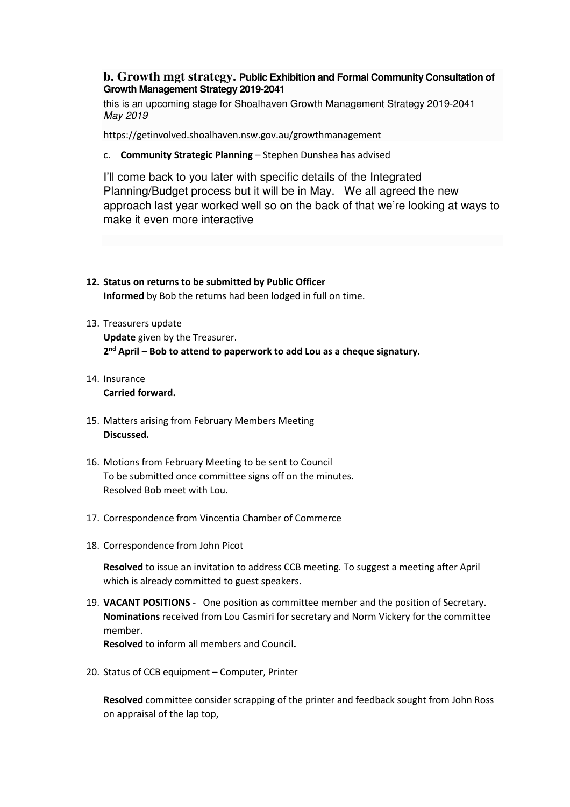## **b. Growth mgt strategy. Public Exhibition and Formal Community Consultation of Growth Management Strategy 2019-2041**

this is an upcoming stage for Shoalhaven Growth Management Strategy 2019-2041 May 2019

https://getinvolved.shoalhaven.nsw.gov.au/growthmanagement

c. Community Strategic Planning – Stephen Dunshea has advised

I'll come back to you later with specific details of the Integrated Planning/Budget process but it will be in May. We all agreed the new approach last year worked well so on the back of that we're looking at ways to make it even more interactive

- 12. Status on returns to be submitted by Public Officer Informed by Bob the returns had been lodged in full on time.
- 13. Treasurers update Update given by the Treasurer. 2<sup>nd</sup> April – Bob to attend to paperwork to add Lou as a cheque signatury.
- 14. Insurance Carried forward.
- 15. Matters arising from February Members Meeting Discussed.
- 16. Motions from February Meeting to be sent to Council To be submitted once committee signs off on the minutes. Resolved Bob meet with Lou.
- 17. Correspondence from Vincentia Chamber of Commerce
- 18. Correspondence from John Picot

Resolved to issue an invitation to address CCB meeting. To suggest a meeting after April which is already committed to guest speakers.

19. VACANT POSITIONS - One position as committee member and the position of Secretary. Nominations received from Lou Casmiri for secretary and Norm Vickery for the committee member.

Resolved to inform all members and Council.

20. Status of CCB equipment – Computer, Printer

Resolved committee consider scrapping of the printer and feedback sought from John Ross on appraisal of the lap top,